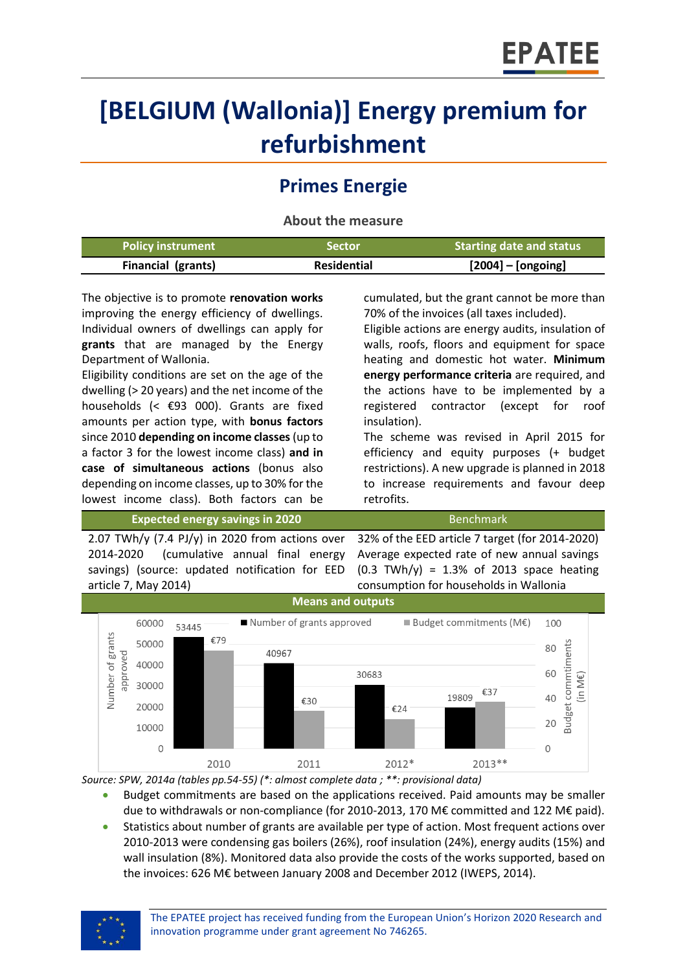# **[BELGIUM (Wallonia)] Energy premium for refurbishment**

# **Primes Energie**

**About the measure**

| <b>Policy instrument</b>  | 'Sector            | <b>Starting date and status</b> |
|---------------------------|--------------------|---------------------------------|
| <b>Financial (grants)</b> | <b>Residential</b> | $[2004]$ – [ongoing]            |

The objective is to promote **renovation works** improving the energy efficiency of dwellings. Individual owners of dwellings can apply for **grants** that are managed by the Energy Department of Wallonia.

Eligibility conditions are set on the age of the dwelling (> 20 years) and the net income of the households (< €93 000). Grants are fixed amounts per action type, with **bonus factors**  since 2010 **depending on income classes**(up to a factor 3 for the lowest income class) **and in case of simultaneous actions** (bonus also depending on income classes, up to 30% for the lowest income class). Both factors can be

cumulated, but the grant cannot be more than 70% of the invoices (all taxes included).

Eligible actions are energy audits, insulation of walls, roofs, floors and equipment for space heating and domestic hot water. **Minimum energy performance criteria** are required, and the actions have to be implemented by a registered contractor (except for roof insulation).

The scheme was revised in April 2015 for efficiency and equity purposes (+ budget restrictions). A new upgrade is planned in 2018 to increase requirements and favour deep retrofits.

**Expected energy savings in 2020** Benchmark

2.07 TWh/y (7.4 PJ/y) in 2020 from actions over 2014-2020 (cumulative annual final energy savings) (source: updated notification for EED article 7, May 2014)

32% of the EED article 7 target (for 2014-2020) Average expected rate of new annual savings  $(0.3 \text{ TWh/y}) = 1.3\% \text{ of } 2013 \text{ space heating}$ consumption for households in Wallonia



*Source: SPW, 2014a (tables pp.54-55) (\*: almost complete data ; \*\*: provisional data)*

- Budget commitments are based on the applications received. Paid amounts may be smaller due to withdrawals or non-compliance (for 2010-2013, 170 M€ committed and 122 M€ paid).
- Statistics about number of grants are available per type of action. Most frequent actions over 2010-2013 were condensing gas boilers (26%), roof insulation (24%), energy audits (15%) and wall insulation (8%). Monitored data also provide the costs of the works supported, based on the invoices: 626 M€ between January 2008 and December 2012 (IWEPS, 2014).

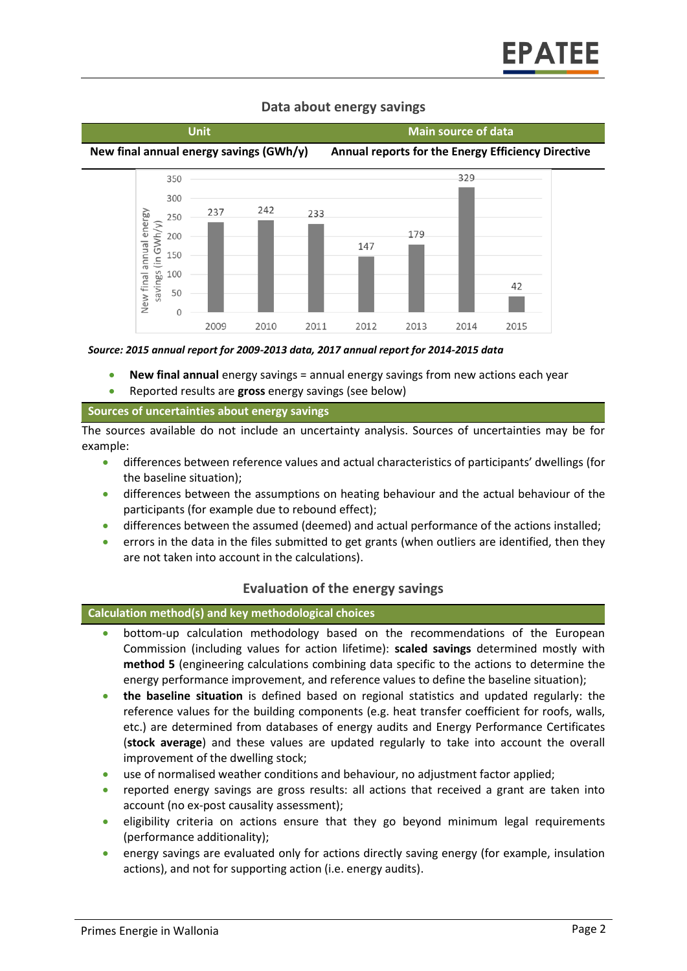

# **Data about energy savings**

*Source: 2015 annual report for 2009-2013 data, 2017 annual report for 2014-2015 data*

- **New final annual** energy savings = annual energy savings from new actions each year
- Reported results are **gross** energy savings (see below)

#### **Sources of uncertainties about energy savings**

The sources available do not include an uncertainty analysis. Sources of uncertainties may be for example:

- differences between reference values and actual characteristics of participants' dwellings (for the baseline situation);
- differences between the assumptions on heating behaviour and the actual behaviour of the participants (for example due to rebound effect);
- differences between the assumed (deemed) and actual performance of the actions installed;
- errors in the data in the files submitted to get grants (when outliers are identified, then they are not taken into account in the calculations).

### **Evaluation of the energy savings**

#### **Calculation method(s) and key methodological choices**

- bottom-up calculation methodology based on the recommendations of the European Commission (including values for action lifetime): **scaled savings** determined mostly with **method 5** (engineering calculations combining data specific to the actions to determine the energy performance improvement, and reference values to define the baseline situation);
- **the baseline situation** is defined based on regional statistics and updated regularly: the reference values for the building components (e.g. heat transfer coefficient for roofs, walls, etc.) are determined from databases of energy audits and Energy Performance Certificates (**stock average**) and these values are updated regularly to take into account the overall improvement of the dwelling stock;
- use of normalised weather conditions and behaviour, no adjustment factor applied;
- reported energy savings are gross results: all actions that received a grant are taken into account (no ex-post causality assessment);
- eligibility criteria on actions ensure that they go beyond minimum legal requirements (performance additionality);
- energy savings are evaluated only for actions directly saving energy (for example, insulation actions), and not for supporting action (i.e. energy audits).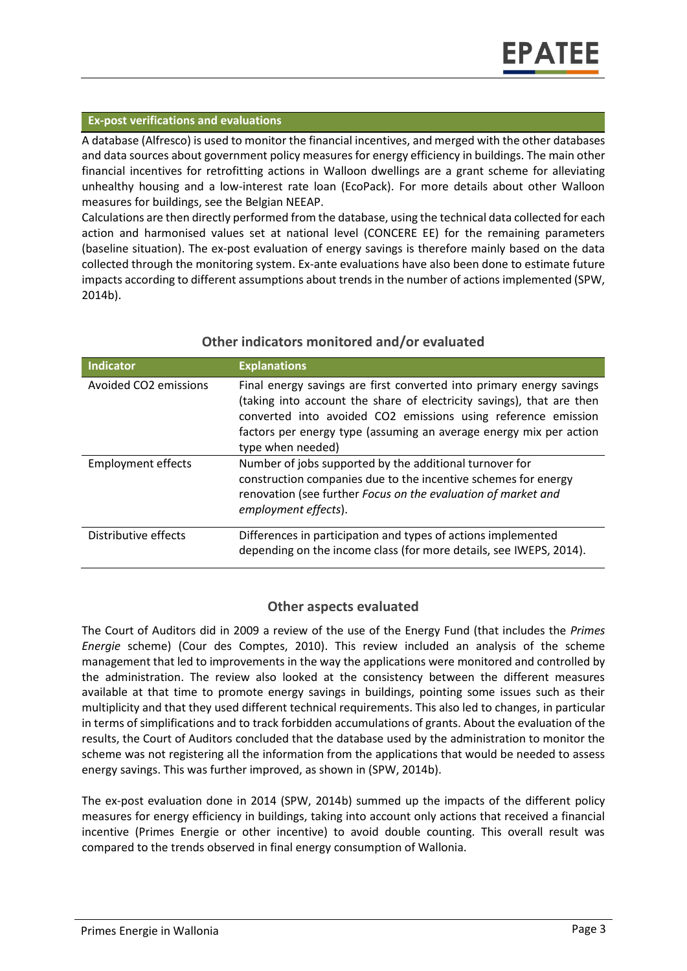#### **Ex-post verifications and evaluations**

A database (Alfresco) is used to monitor the financial incentives, and merged with the other databases and data sources about government policy measures for energy efficiency in buildings. The main other financial incentives for retrofitting actions in Walloon dwellings are a grant scheme for alleviating unhealthy housing and a low-interest rate loan (EcoPack). For more details about other Walloon measures for buildings, see the Belgian NEEAP.

Calculations are then directly performed from the database, using the technical data collected for each action and harmonised values set at national level (CONCERE EE) for the remaining parameters (baseline situation). The ex-post evaluation of energy savings is therefore mainly based on the data collected through the monitoring system. Ex-ante evaluations have also been done to estimate future impacts according to different assumptions about trends in the number of actions implemented (SPW, 2014b).

| Indicator                         | <b>Explanations</b>                                                                                                                                                                                                                                                                                       |
|-----------------------------------|-----------------------------------------------------------------------------------------------------------------------------------------------------------------------------------------------------------------------------------------------------------------------------------------------------------|
| Avoided CO <sub>2</sub> emissions | Final energy savings are first converted into primary energy savings<br>(taking into account the share of electricity savings), that are then<br>converted into avoided CO2 emissions using reference emission<br>factors per energy type (assuming an average energy mix per action<br>type when needed) |
| <b>Employment effects</b>         | Number of jobs supported by the additional turnover for<br>construction companies due to the incentive schemes for energy<br>renovation (see further Focus on the evaluation of market and<br>employment effects).                                                                                        |
| Distributive effects              | Differences in participation and types of actions implemented<br>depending on the income class (for more details, see IWEPS, 2014).                                                                                                                                                                       |

#### **Other indicators monitored and/or evaluated**

# **Other aspects evaluated**

The Court of Auditors did in 2009 a review of the use of the Energy Fund (that includes the *Primes Energie* scheme) (Cour des Comptes, 2010). This review included an analysis of the scheme management that led to improvements in the way the applications were monitored and controlled by the administration. The review also looked at the consistency between the different measures available at that time to promote energy savings in buildings, pointing some issues such as their multiplicity and that they used different technical requirements. This also led to changes, in particular in terms of simplifications and to track forbidden accumulations of grants. About the evaluation of the results, the Court of Auditors concluded that the database used by the administration to monitor the scheme was not registering all the information from the applications that would be needed to assess energy savings. This was further improved, as shown in (SPW, 2014b).

The ex-post evaluation done in 2014 (SPW, 2014b) summed up the impacts of the different policy measures for energy efficiency in buildings, taking into account only actions that received a financial incentive (Primes Energie or other incentive) to avoid double counting. This overall result was compared to the trends observed in final energy consumption of Wallonia.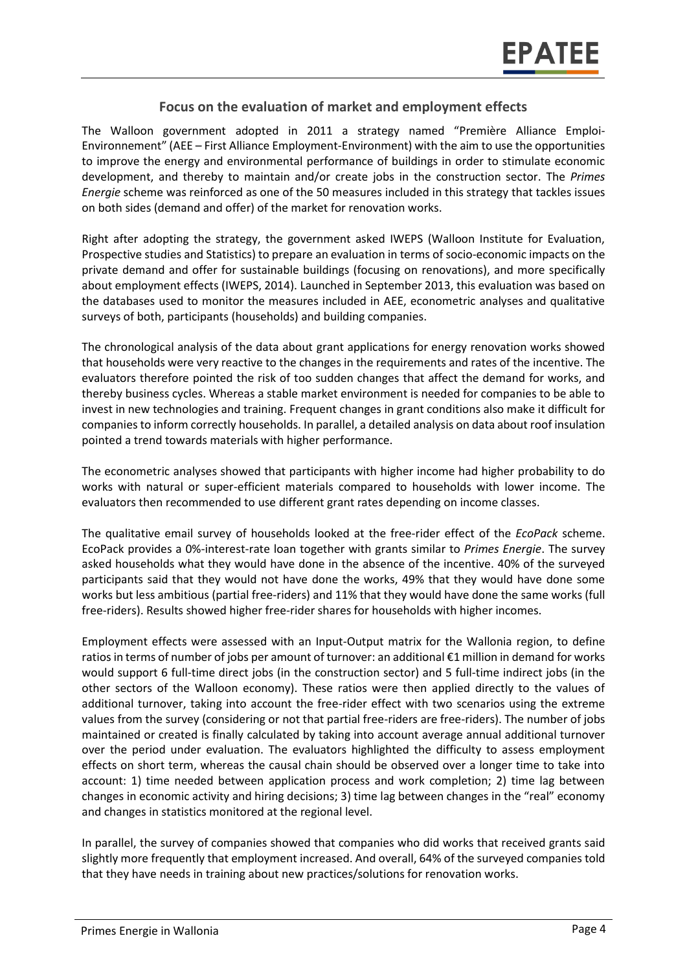# **Focus on the evaluation of market and employment effects**

The Walloon government adopted in 2011 a strategy named "Première Alliance Emploi-Environnement" (AEE – First Alliance Employment-Environment) with the aim to use the opportunities to improve the energy and environmental performance of buildings in order to stimulate economic development, and thereby to maintain and/or create jobs in the construction sector. The *Primes Energie* scheme was reinforced as one of the 50 measures included in this strategy that tackles issues on both sides (demand and offer) of the market for renovation works.

Right after adopting the strategy, the government asked IWEPS (Walloon Institute for Evaluation, Prospective studies and Statistics) to prepare an evaluation in terms of socio-economic impacts on the private demand and offer for sustainable buildings (focusing on renovations), and more specifically about employment effects (IWEPS, 2014). Launched in September 2013, this evaluation was based on the databases used to monitor the measures included in AEE, econometric analyses and qualitative surveys of both, participants (households) and building companies.

The chronological analysis of the data about grant applications for energy renovation works showed that households were very reactive to the changes in the requirements and rates of the incentive. The evaluators therefore pointed the risk of too sudden changes that affect the demand for works, and thereby business cycles. Whereas a stable market environment is needed for companies to be able to invest in new technologies and training. Frequent changes in grant conditions also make it difficult for companies to inform correctly households. In parallel, a detailed analysis on data about roof insulation pointed a trend towards materials with higher performance.

The econometric analyses showed that participants with higher income had higher probability to do works with natural or super-efficient materials compared to households with lower income. The evaluators then recommended to use different grant rates depending on income classes.

The qualitative email survey of households looked at the free-rider effect of the *EcoPack* scheme. EcoPack provides a 0%-interest-rate loan together with grants similar to *Primes Energie*. The survey asked households what they would have done in the absence of the incentive. 40% of the surveyed participants said that they would not have done the works, 49% that they would have done some works but less ambitious (partial free-riders) and 11% that they would have done the same works (full free-riders). Results showed higher free-rider shares for households with higher incomes.

Employment effects were assessed with an Input-Output matrix for the Wallonia region, to define ratios in terms of number of jobs per amount of turnover: an additional €1 million in demand for works would support 6 full-time direct jobs (in the construction sector) and 5 full-time indirect jobs (in the other sectors of the Walloon economy). These ratios were then applied directly to the values of additional turnover, taking into account the free-rider effect with two scenarios using the extreme values from the survey (considering or not that partial free-riders are free-riders). The number of jobs maintained or created is finally calculated by taking into account average annual additional turnover over the period under evaluation. The evaluators highlighted the difficulty to assess employment effects on short term, whereas the causal chain should be observed over a longer time to take into account: 1) time needed between application process and work completion; 2) time lag between changes in economic activity and hiring decisions; 3) time lag between changes in the "real" economy and changes in statistics monitored at the regional level.

In parallel, the survey of companies showed that companies who did works that received grants said slightly more frequently that employment increased. And overall, 64% of the surveyed companies told that they have needs in training about new practices/solutions for renovation works.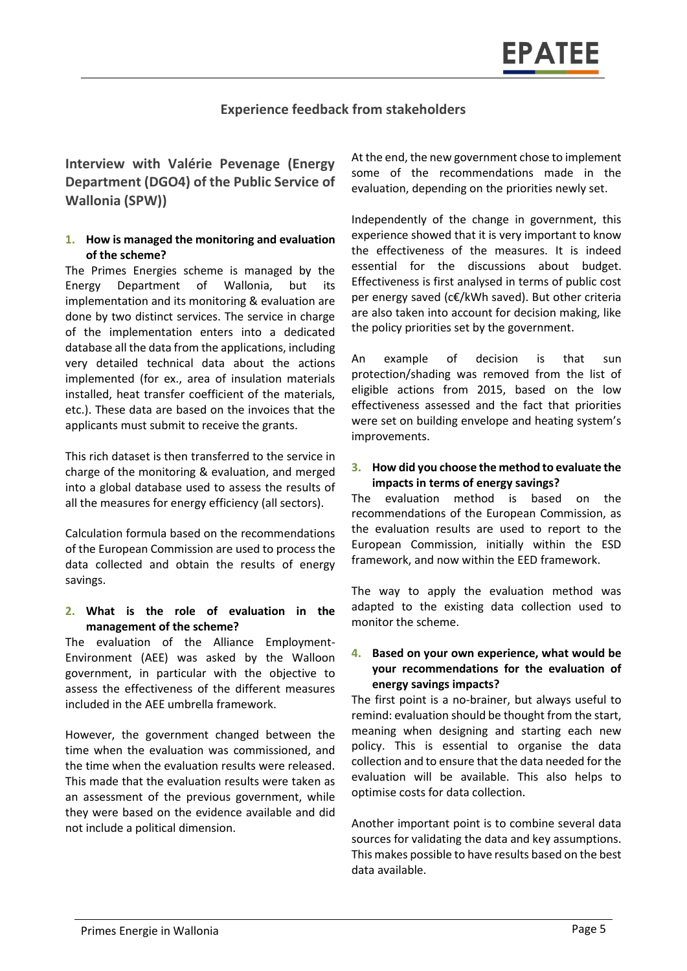## **Experience feedback from stakeholders**

# **Interview with Valérie Pevenage (Energy Department (DGO4) of the Public Service of Wallonia (SPW))**

#### **1. How is managed the monitoring and evaluation of the scheme?**

The Primes Energies scheme is managed by the Energy Department of Wallonia, but its implementation and its monitoring & evaluation are done by two distinct services. The service in charge of the implementation enters into a dedicated database all the data from the applications, including very detailed technical data about the actions implemented (for ex., area of insulation materials installed, heat transfer coefficient of the materials, etc.). These data are based on the invoices that the applicants must submit to receive the grants.

This rich dataset is then transferred to the service in charge of the monitoring & evaluation, and merged into a global database used to assess the results of all the measures for energy efficiency (all sectors).

Calculation formula based on the recommendations of the European Commission are used to process the data collected and obtain the results of energy savings.

#### **2. What is the role of evaluation in the management of the scheme?**

The evaluation of the Alliance Employment-Environment (AEE) was asked by the Walloon government, in particular with the objective to assess the effectiveness of the different measures included in the AEE umbrella framework.

However, the government changed between the time when the evaluation was commissioned, and the time when the evaluation results were released. This made that the evaluation results were taken as an assessment of the previous government, while they were based on the evidence available and did not include a political dimension.

At the end, the new government chose to implement some of the recommendations made in the evaluation, depending on the priorities newly set.

Independently of the change in government, this experience showed that it is very important to know the effectiveness of the measures. It is indeed essential for the discussions about budget. Effectiveness is first analysed in terms of public cost per energy saved (c€/kWh saved). But other criteria are also taken into account for decision making, like the policy priorities set by the government.

An example of decision is that sun protection/shading was removed from the list of eligible actions from 2015, based on the low effectiveness assessed and the fact that priorities were set on building envelope and heating system's improvements.

#### **3. How did you choose the method to evaluate the impacts in terms of energy savings?**

The evaluation method is based on the recommendations of the European Commission, as the evaluation results are used to report to the European Commission, initially within the ESD framework, and now within the EED framework.

The way to apply the evaluation method was adapted to the existing data collection used to monitor the scheme.

#### **4. Based on your own experience, what would be your recommendations for the evaluation of energy savings impacts?**

The first point is a no-brainer, but always useful to remind: evaluation should be thought from the start, meaning when designing and starting each new policy. This is essential to organise the data collection and to ensure that the data needed for the evaluation will be available. This also helps to optimise costs for data collection.

Another important point is to combine several data sources for validating the data and key assumptions. This makes possible to have results based on the best data available.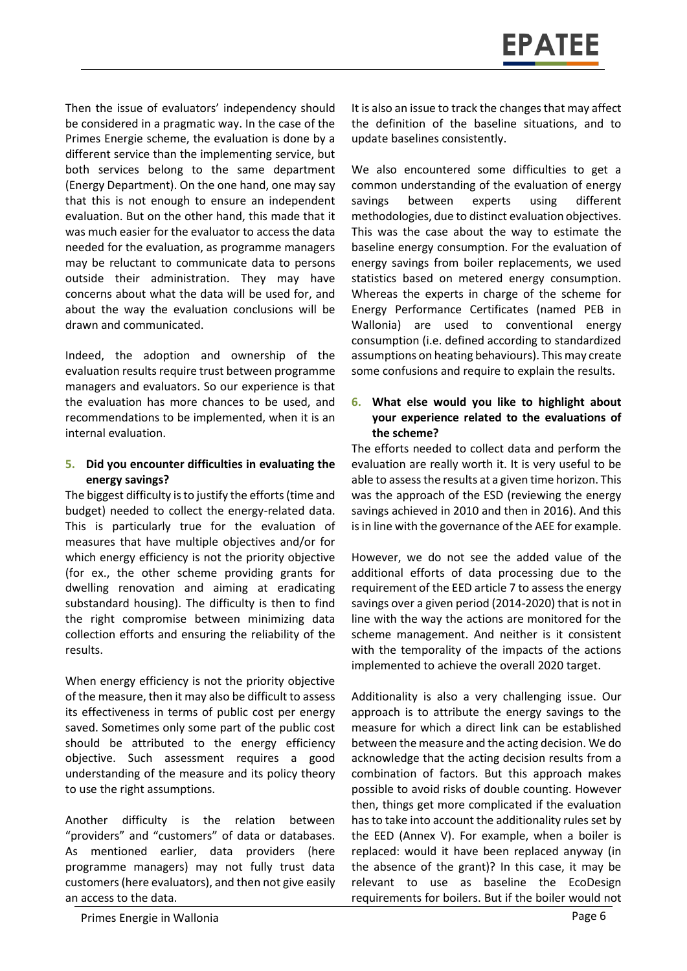Then the issue of evaluators' independency should be considered in a pragmatic way. In the case of the Primes Energie scheme, the evaluation is done by a different service than the implementing service, but both services belong to the same department (Energy Department). On the one hand, one may say that this is not enough to ensure an independent evaluation. But on the other hand, this made that it was much easier for the evaluator to access the data needed for the evaluation, as programme managers may be reluctant to communicate data to persons outside their administration. They may have concerns about what the data will be used for, and about the way the evaluation conclusions will be drawn and communicated.

Indeed, the adoption and ownership of the evaluation results require trust between programme managers and evaluators. So our experience is that the evaluation has more chances to be used, and recommendations to be implemented, when it is an internal evaluation.

#### **5. Did you encounter difficulties in evaluating the energy savings?**

The biggest difficulty is to justify the efforts (time and budget) needed to collect the energy-related data. This is particularly true for the evaluation of measures that have multiple objectives and/or for which energy efficiency is not the priority objective (for ex., the other scheme providing grants for dwelling renovation and aiming at eradicating substandard housing). The difficulty is then to find the right compromise between minimizing data collection efforts and ensuring the reliability of the results.

When energy efficiency is not the priority objective of the measure, then it may also be difficult to assess its effectiveness in terms of public cost per energy saved. Sometimes only some part of the public cost should be attributed to the energy efficiency objective. Such assessment requires a good understanding of the measure and its policy theory to use the right assumptions.

Another difficulty is the relation between "providers" and "customers" of data or databases. As mentioned earlier, data providers (here programme managers) may not fully trust data customers (here evaluators), and then not give easily an access to the data.

It is also an issue to track the changes that may affect the definition of the baseline situations, and to update baselines consistently.

We also encountered some difficulties to get a common understanding of the evaluation of energy savings between experts using different methodologies, due to distinct evaluation objectives. This was the case about the way to estimate the baseline energy consumption. For the evaluation of energy savings from boiler replacements, we used statistics based on metered energy consumption. Whereas the experts in charge of the scheme for Energy Performance Certificates (named PEB in Wallonia) are used to conventional energy consumption (i.e. defined according to standardized assumptions on heating behaviours). This may create some confusions and require to explain the results.

#### **6. What else would you like to highlight about your experience related to the evaluations of the scheme?**

The efforts needed to collect data and perform the evaluation are really worth it. It is very useful to be able to assess the results at a given time horizon. This was the approach of the ESD (reviewing the energy savings achieved in 2010 and then in 2016). And this is in line with the governance of the AEE for example.

However, we do not see the added value of the additional efforts of data processing due to the requirement of the EED article 7 to assess the energy savings over a given period (2014-2020) that is not in line with the way the actions are monitored for the scheme management. And neither is it consistent with the temporality of the impacts of the actions implemented to achieve the overall 2020 target.

Additionality is also a very challenging issue. Our approach is to attribute the energy savings to the measure for which a direct link can be established between the measure and the acting decision. We do acknowledge that the acting decision results from a combination of factors. But this approach makes possible to avoid risks of double counting. However then, things get more complicated if the evaluation has to take into account the additionality rules set by the EED (Annex V). For example, when a boiler is replaced: would it have been replaced anyway (in the absence of the grant)? In this case, it may be relevant to use as baseline the EcoDesign requirements for boilers. But if the boiler would not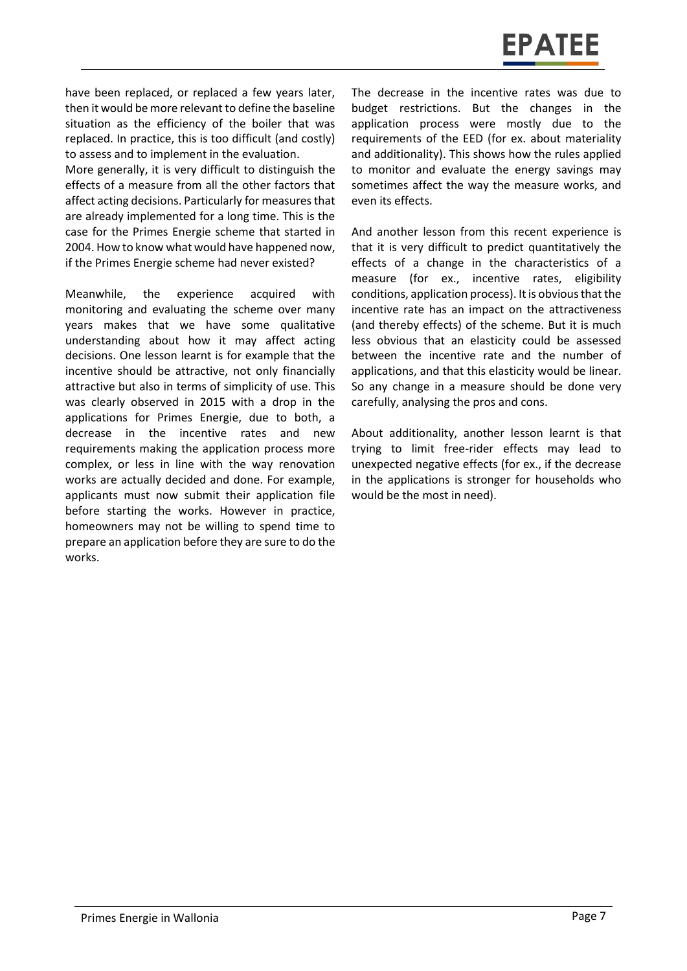

have been replaced, or replaced a few years later, then it would be more relevant to define the baseline situation as the efficiency of the boiler that was replaced. In practice, this is too difficult (and costly) to assess and to implement in the evaluation.

More generally, it is very difficult to distinguish the effects of a measure from all the other factors that affect acting decisions. Particularly for measures that are already implemented for a long time. This is the case for the Primes Energie scheme that started in 2004. How to know what would have happened now, if the Primes Energie scheme had never existed?

Meanwhile, the experience acquired with monitoring and evaluating the scheme over many years makes that we have some qualitative understanding about how it may affect acting decisions. One lesson learnt is for example that the incentive should be attractive, not only financially attractive but also in terms of simplicity of use. This was clearly observed in 2015 with a drop in the applications for Primes Energie, due to both, a decrease in the incentive rates and new requirements making the application process more complex, or less in line with the way renovation works are actually decided and done. For example, applicants must now submit their application file before starting the works. However in practice, homeowners may not be willing to spend time to prepare an application before they are sure to do the works.

The decrease in the incentive rates was due to budget restrictions. But the changes in the application process were mostly due to the requirements of the EED (for ex. about materiality and additionality). This shows how the rules applied to monitor and evaluate the energy savings may sometimes affect the way the measure works, and even its effects.

And another lesson from this recent experience is that it is very difficult to predict quantitatively the effects of a change in the characteristics of a measure (for ex., incentive rates, eligibility conditions, application process). It is obvious that the incentive rate has an impact on the attractiveness (and thereby effects) of the scheme. But it is much less obvious that an elasticity could be assessed between the incentive rate and the number of applications, and that this elasticity would be linear. So any change in a measure should be done very carefully, analysing the pros and cons.

About additionality, another lesson learnt is that trying to limit free-rider effects may lead to unexpected negative effects (for ex., if the decrease in the applications is stronger for households who would be the most in need).